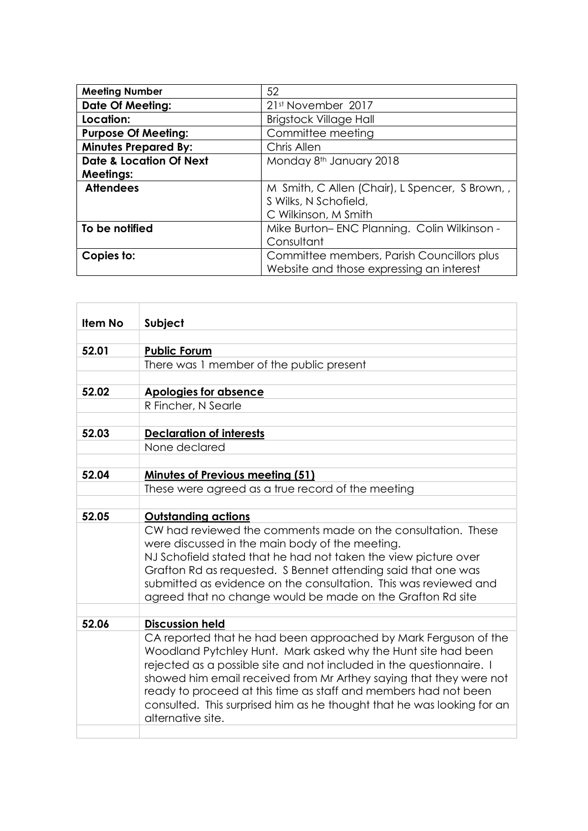| <b>Meeting Number</b>              | 52                                             |
|------------------------------------|------------------------------------------------|
| <b>Date Of Meeting:</b>            | 21st November 2017                             |
| Location:                          | <b>Brigstock Village Hall</b>                  |
| <b>Purpose Of Meeting:</b>         | Committee meeting                              |
| <b>Minutes Prepared By:</b>        | Chris Allen                                    |
| <b>Date &amp; Location Of Next</b> | Monday 8th January 2018                        |
| <b>Meetings:</b>                   |                                                |
| <b>Attendees</b>                   | M Smith, C Allen (Chair), L Spencer, S Brown,, |
|                                    | S Wilks, N Schofield,                          |
|                                    | C Wilkinson, M Smith                           |
| To be notified                     | Mike Burton-ENC Planning. Colin Wilkinson -    |
|                                    | Consultant                                     |
| Copies to:                         | Committee members, Parish Councillors plus     |
|                                    | Website and those expressing an interest       |

| <b>Item No</b> | Subject                                                                                                                          |
|----------------|----------------------------------------------------------------------------------------------------------------------------------|
|                |                                                                                                                                  |
| 52.01          | <b>Public Forum</b>                                                                                                              |
|                | There was 1 member of the public present                                                                                         |
|                |                                                                                                                                  |
| 52.02          | <b>Apologies for absence</b>                                                                                                     |
|                | R Fincher, N Searle                                                                                                              |
|                |                                                                                                                                  |
| 52.03          | <b>Declaration of interests</b>                                                                                                  |
|                | None declared                                                                                                                    |
|                |                                                                                                                                  |
| 52.04          | <b>Minutes of Previous meeting (51)</b>                                                                                          |
|                | These were agreed as a true record of the meeting                                                                                |
|                |                                                                                                                                  |
| 52.05          | <b>Outstanding actions</b>                                                                                                       |
|                | CW had reviewed the comments made on the consultation. These                                                                     |
|                | were discussed in the main body of the meeting.                                                                                  |
|                | NJ Schofield stated that he had not taken the view picture over                                                                  |
|                | Grafton Rd as requested. S Bennet attending said that one was                                                                    |
|                | submitted as evidence on the consultation. This was reviewed and                                                                 |
|                | agreed that no change would be made on the Grafton Rd site                                                                       |
|                |                                                                                                                                  |
| 52.06          | <b>Discussion held</b>                                                                                                           |
|                | CA reported that he had been approached by Mark Ferguson of the<br>Woodland Pytchley Hunt. Mark asked why the Hunt site had been |
|                | rejected as a possible site and not included in the questionnaire. I                                                             |
|                | showed him email received from Mr Arthey saying that they were not                                                               |
|                | ready to proceed at this time as staff and members had not been                                                                  |
|                | consulted. This surprised him as he thought that he was looking for an                                                           |
|                | alternative site.                                                                                                                |
|                |                                                                                                                                  |